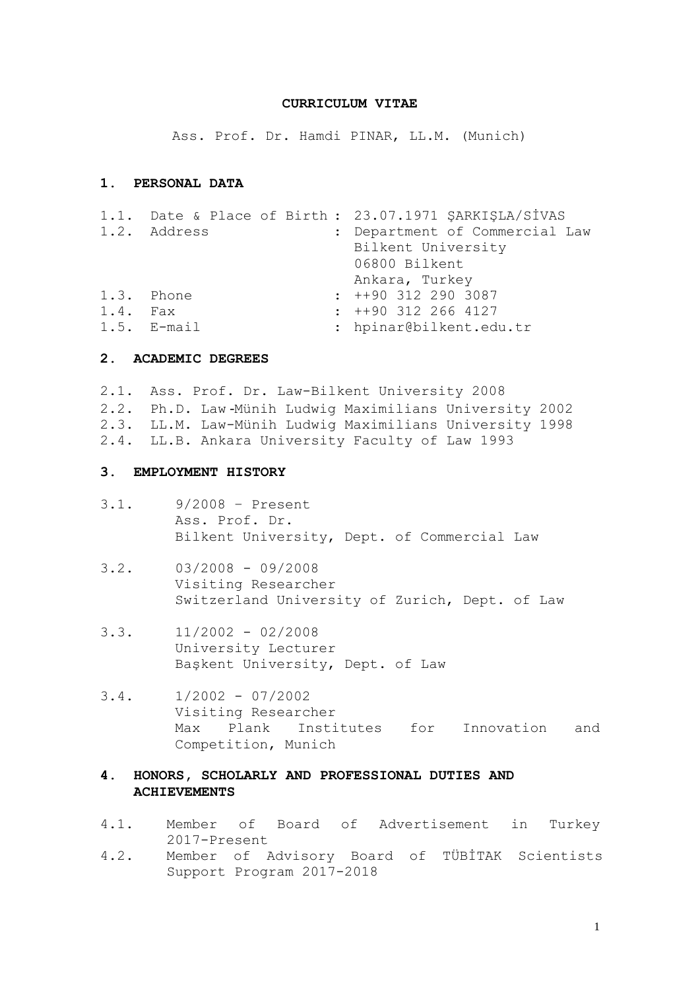#### **CURRICULUM VITAE**

Ass. Prof. Dr. Hamdi PINAR, LL.M. (Munich)

# **1. PERSONAL DATA**

|            |               | 1.1. Date & Place of Birth : 23.07.1971 ŞARKIŞLA/SİVAS |  |  |  |  |
|------------|---------------|--------------------------------------------------------|--|--|--|--|
|            | 1.2. Address  | : Department of Commercial Law                         |  |  |  |  |
|            |               | Bilkent University                                     |  |  |  |  |
|            |               | 06800 Bilkent                                          |  |  |  |  |
|            |               | Ankara, Turkey                                         |  |  |  |  |
|            | 1.3. Phone    | $\div$ ++90 312 290 3087                               |  |  |  |  |
| $1.4.$ Fax |               | $: +90$ 312 266 4127                                   |  |  |  |  |
|            | $1.5.$ E-mail | : hpinar@bilkent.edu.tr                                |  |  |  |  |
|            |               |                                                        |  |  |  |  |

#### **2. ACADEMIC DEGREES**

2.1. Ass. Prof. Dr. Law-Bilkent University 2008 2.2. Ph.D. Law -Münih Ludwig Maximilians University 2002 2.3. LL.M. Law-Münih Ludwig Maximilians University 1998 2.4. LL.B. Ankara University Faculty of Law 1993

#### **3. EMPLOYMENT HISTORY**

- 3.1. 9/2008 Present Ass. Prof. Dr. Bilkent University, Dept. of Commercial Law
- $3.2. 03/2008 09/2008$ Visiting Researcher Switzerland University of Zurich, Dept. of Law
- $3.3. 11/2002 02/2008$ University Lecturer Başkent University, Dept. of Law
- $3.4. 1/2002 07/2002$ Visiting Researcher Max Plank Institutes for Innovation and Competition, Munich

## **4. HONORS, SCHOLARLY AND PROFESSIONAL DUTIES AND ACHIEVEMENTS**

- 4.1. Member of Board of Advertisement in Turkey 2017-Present
- 4.2. Member of Advisory Board of TÜBİTAK Scientists Support Program 2017-2018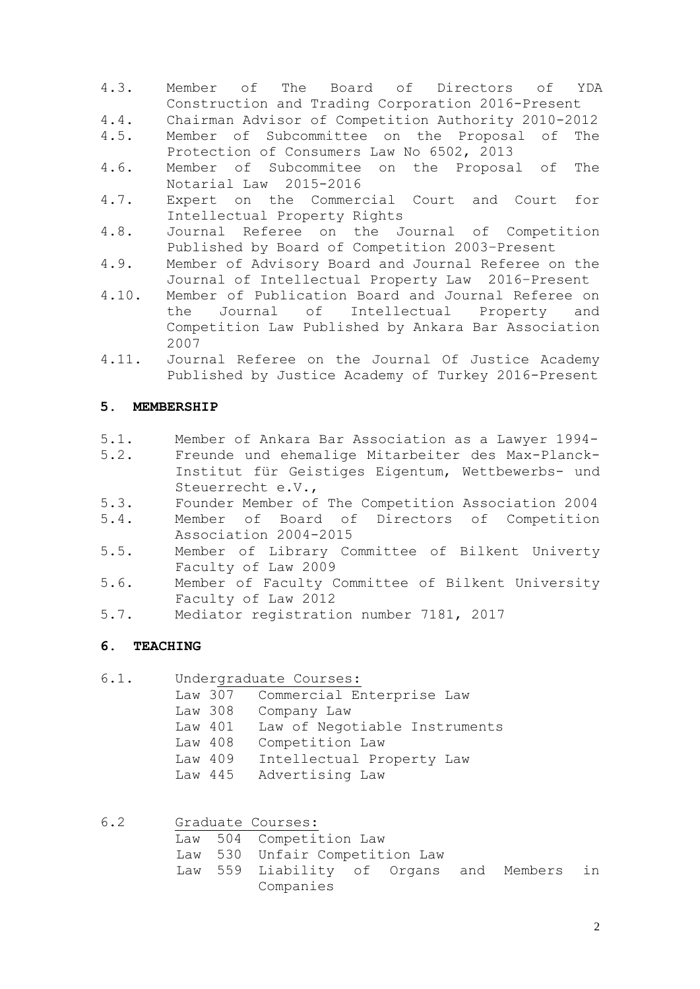- 4.3. Member of The Board of Directors of YDA Construction and Trading Corporation 2016-Present
- 4.4. Chairman Advisor of Competition Authority 2010-2012
- 4.5. Member of Subcommittee on the Proposal of The Protection of Consumers Law No 6502, 2013
- 4.6. Member of Subcommitee on the Proposal of The Notarial Law 2015-2016
- 4.7. Expert on the Commercial Court and Court for Intellectual Property Rights
- 4.8. Journal Referee on the Journal of Competition Published by Board of Competition 2003–Present
- 4.9. Member of Advisory Board and Journal Referee on the Journal of Intellectual Property Law 2016–Present
- 4.10. Member of Publication Board and Journal Referee on the Journal of Intellectual Property and Competition Law Published by Ankara Bar Association 2007
- 4.11. Journal Referee on the Journal Of Justice Academy Published by Justice Academy of Turkey 2016-Present

# **5. MEMBERSHIP**

- 5.1. Member of Ankara Bar Association as a Lawyer 1994-
- 5.2. Freunde und ehemalige Mitarbeiter des Max-Planck-Institut für Geistiges Eigentum, Wettbewerbs- und Steuerrecht e.V.,
- 5.3. Founder Member of The Competition Association 2004
- 5.4. Member of Board of Directors of Competition Association 2004-2015
- 5.5. Member of Library Committee of Bilkent Univerty Faculty of Law 2009
- 5.6. Member of Faculty Committee of Bilkent University Faculty of Law 2012
- 5.7. Mediator registration number 7181, 2017

## **6. TEACHING**

6.1. Undergraduate Courses:

- Law 307 Commercial Enterprise Law
	- Law 308 Company Law
- Law 401 Law of Negotiable Instruments
- Law 408 Competition Law
- Law 409 Intellectual Property Law
- Law 445 Advertising Law

| 6.2 |  | Graduate Courses:                          |  |  |  |  |  |
|-----|--|--------------------------------------------|--|--|--|--|--|
|     |  | Law 504 Competition Law                    |  |  |  |  |  |
|     |  | Law 530 Unfair Competition Law             |  |  |  |  |  |
|     |  | Law 559 Liability of Organs and Members in |  |  |  |  |  |
|     |  | Companies                                  |  |  |  |  |  |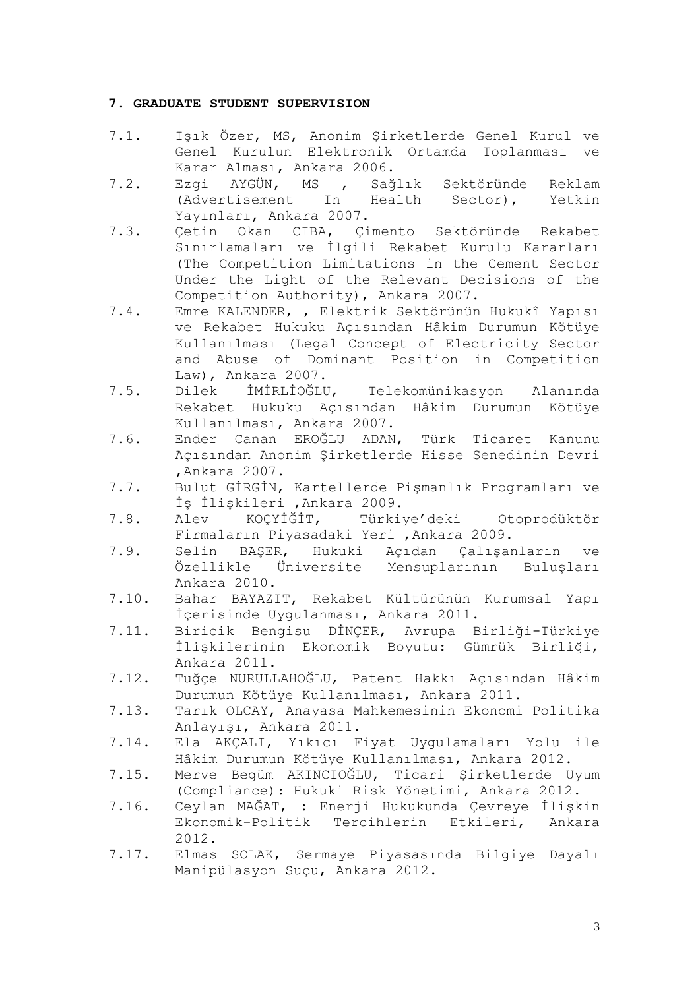## **7. GRADUATE STUDENT SUPERVISION**

- 7.1. Işık Özer, MS, Anonim Şirketlerde Genel Kurul ve Genel Kurulun Elektronik Ortamda Toplanması ve Karar Alması, Ankara 2006.
- 7.2. Ezgi AYGÜN, MS , Sağlık Sektöründe Reklam (Advertisement In Health Sector), Yetkin Yayınları, Ankara 2007.
- 7.3. Çetin Okan CIBA, Çimento Sektöründe Rekabet Sınırlamaları ve İlgili Rekabet Kurulu Kararları (The Competition Limitations in the Cement Sector Under the Light of the Relevant Decisions of the Competition Authority), Ankara 2007.
- 7.4. Emre KALENDER, , Elektrik Sektörünün Hukukî Yapısı ve Rekabet Hukuku Açısından Hâkim Durumun Kötüye Kullanılması (Legal Concept of Electricity Sector and Abuse of Dominant Position in Competition Law), Ankara 2007.
- 7.5. Dilek İMİRLİOĞLU, Telekomünikasyon Alanında Rekabet Hukuku Açısından Hâkim Durumun Kötüye Kullanılması, Ankara 2007.
- 7.6. Ender Canan EROĞLU ADAN, Türk Ticaret Kanunu Açısından Anonim Şirketlerde Hisse Senedinin Devri ,Ankara 2007.
- 7.7. Bulut GİRGİN, Kartellerde Pişmanlık Programları ve İş İlişkileri ,Ankara 2009.
- 7.8. Alev KOÇYİĞİT, Türkiye'deki Otoprodüktör Firmaların Piyasadaki Yeri ,Ankara 2009.
- 7.9. Selin BAŞER, Hukuki Açıdan Çalışanların ve Özellikle Üniversite Mensuplarının Buluşları Ankara 2010.
- 7.10. Bahar BAYAZIT, Rekabet Kültürünün Kurumsal Yapı İçerisinde Uygulanması, Ankara 2011.
- 7.11. Biricik Bengisu DİNÇER, Avrupa Birliği-Türkiye İlişkilerinin Ekonomik Boyutu: Gümrük Birliği, Ankara 2011.
- 7.12. Tuğçe NURULLAHOĞLU, Patent Hakkı Açısından Hâkim Durumun Kötüye Kullanılması, Ankara 2011.
- 7.13. Tarık OLCAY, Anayasa Mahkemesinin Ekonomi Politika Anlayışı, Ankara 2011.
- 7.14. Ela AKÇALI, Yıkıcı Fiyat Uygulamaları Yolu ile Hâkim Durumun Kötüye Kullanılması, Ankara 2012.
- 7.15. Merve Begüm AKINCIOĞLU, Ticari Şirketlerde Uyum (Compliance): Hukuki Risk Yönetimi, Ankara 2012.
- 7.16. Ceylan MAĞAT, : Enerji Hukukunda Çevreye İlişkin Ekonomik-Politik Tercihlerin Etkileri, Ankara 2012.
- 7.17. Elmas SOLAK, Sermaye Piyasasında Bilgiye Dayalı Manipülasyon Suçu, Ankara 2012.